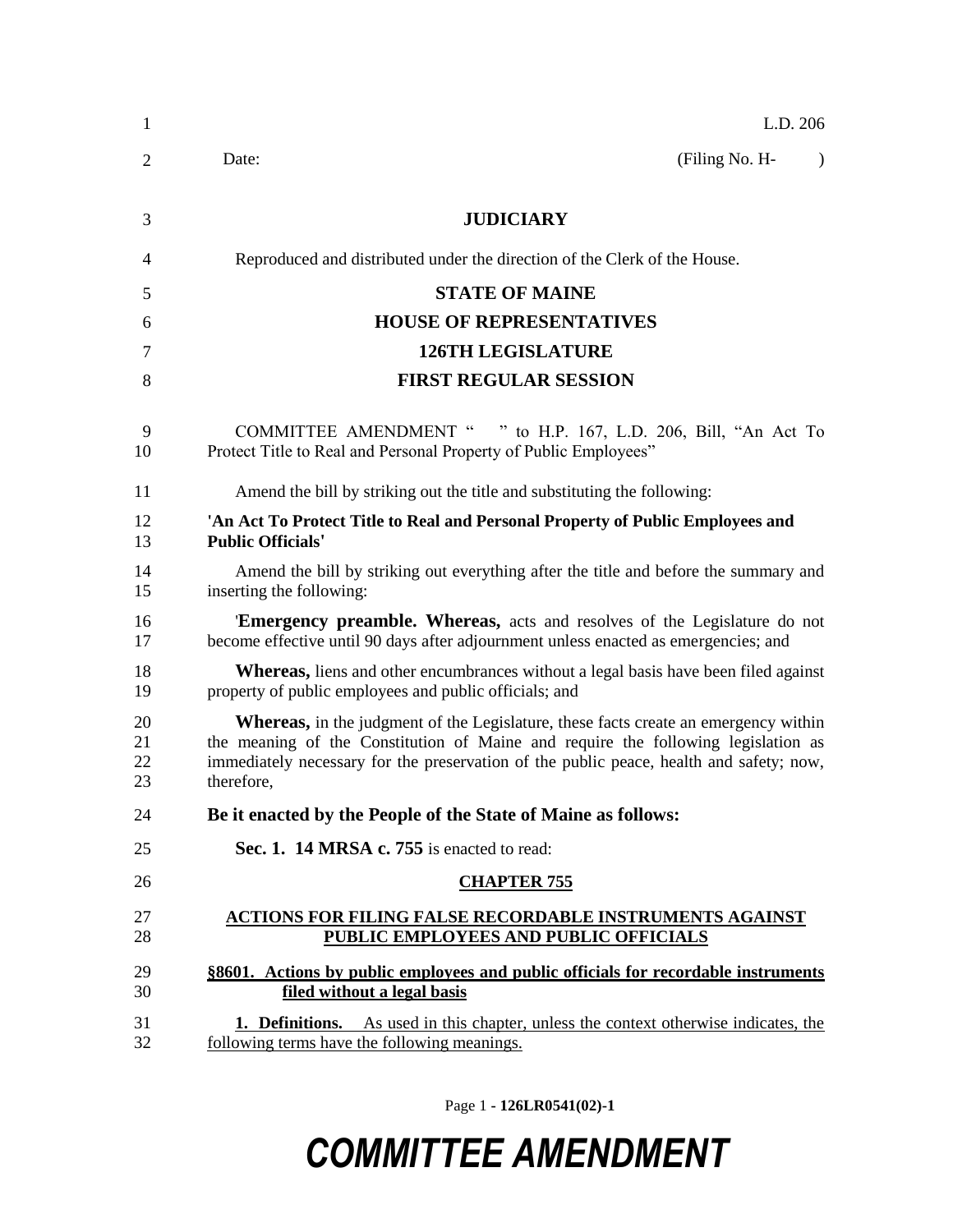| 1                    | L.D. 206                                                                                                                                                                                                                                                                                 |
|----------------------|------------------------------------------------------------------------------------------------------------------------------------------------------------------------------------------------------------------------------------------------------------------------------------------|
| 2                    | (Filing No. H-<br>Date:                                                                                                                                                                                                                                                                  |
| 3                    | <b>JUDICIARY</b>                                                                                                                                                                                                                                                                         |
| 4                    | Reproduced and distributed under the direction of the Clerk of the House.                                                                                                                                                                                                                |
| 5                    | <b>STATE OF MAINE</b>                                                                                                                                                                                                                                                                    |
| 6                    | <b>HOUSE OF REPRESENTATIVES</b>                                                                                                                                                                                                                                                          |
| 7                    | <b>126TH LEGISLATURE</b>                                                                                                                                                                                                                                                                 |
| 8                    | <b>FIRST REGULAR SESSION</b>                                                                                                                                                                                                                                                             |
| 9<br>10              | COMMITTEE AMENDMENT " " to H.P. 167, L.D. 206, Bill, "An Act To<br>Protect Title to Real and Personal Property of Public Employees"                                                                                                                                                      |
| 11                   | Amend the bill by striking out the title and substituting the following:                                                                                                                                                                                                                 |
| 12<br>13             | 'An Act To Protect Title to Real and Personal Property of Public Employees and<br><b>Public Officials'</b>                                                                                                                                                                               |
| 14<br>15             | Amend the bill by striking out everything after the title and before the summary and<br>inserting the following:                                                                                                                                                                         |
| 16<br>17             | 'Emergency preamble. Whereas, acts and resolves of the Legislature do not<br>become effective until 90 days after adjournment unless enacted as emergencies; and                                                                                                                         |
| 18<br>19             | Whereas, liens and other encumbrances without a legal basis have been filed against<br>property of public employees and public officials; and                                                                                                                                            |
| 20<br>21<br>22<br>23 | <b>Whereas,</b> in the judgment of the Legislature, these facts create an emergency within<br>the meaning of the Constitution of Maine and require the following legislation as<br>immediately necessary for the preservation of the public peace, health and safety; now,<br>therefore, |
| 24                   | Be it enacted by the People of the State of Maine as follows:                                                                                                                                                                                                                            |
| 25                   | Sec. 1. 14 MRSA c. 755 is enacted to read:                                                                                                                                                                                                                                               |
| 26                   | <b>CHAPTER 755</b>                                                                                                                                                                                                                                                                       |
| 27<br>28             | <b>ACTIONS FOR FILING FALSE RECORDABLE INSTRUMENTS AGAINST</b><br>PUBLIC EMPLOYEES AND PUBLIC OFFICIALS                                                                                                                                                                                  |
| 29<br>30             | §8601. Actions by public employees and public officials for recordable instruments<br>filed without a legal basis                                                                                                                                                                        |
| 31<br>32             | As used in this chapter, unless the context otherwise indicates, the<br>1. Definitions.<br>following terms have the following meanings.                                                                                                                                                  |

Page 1 **- 126LR0541(02)-1**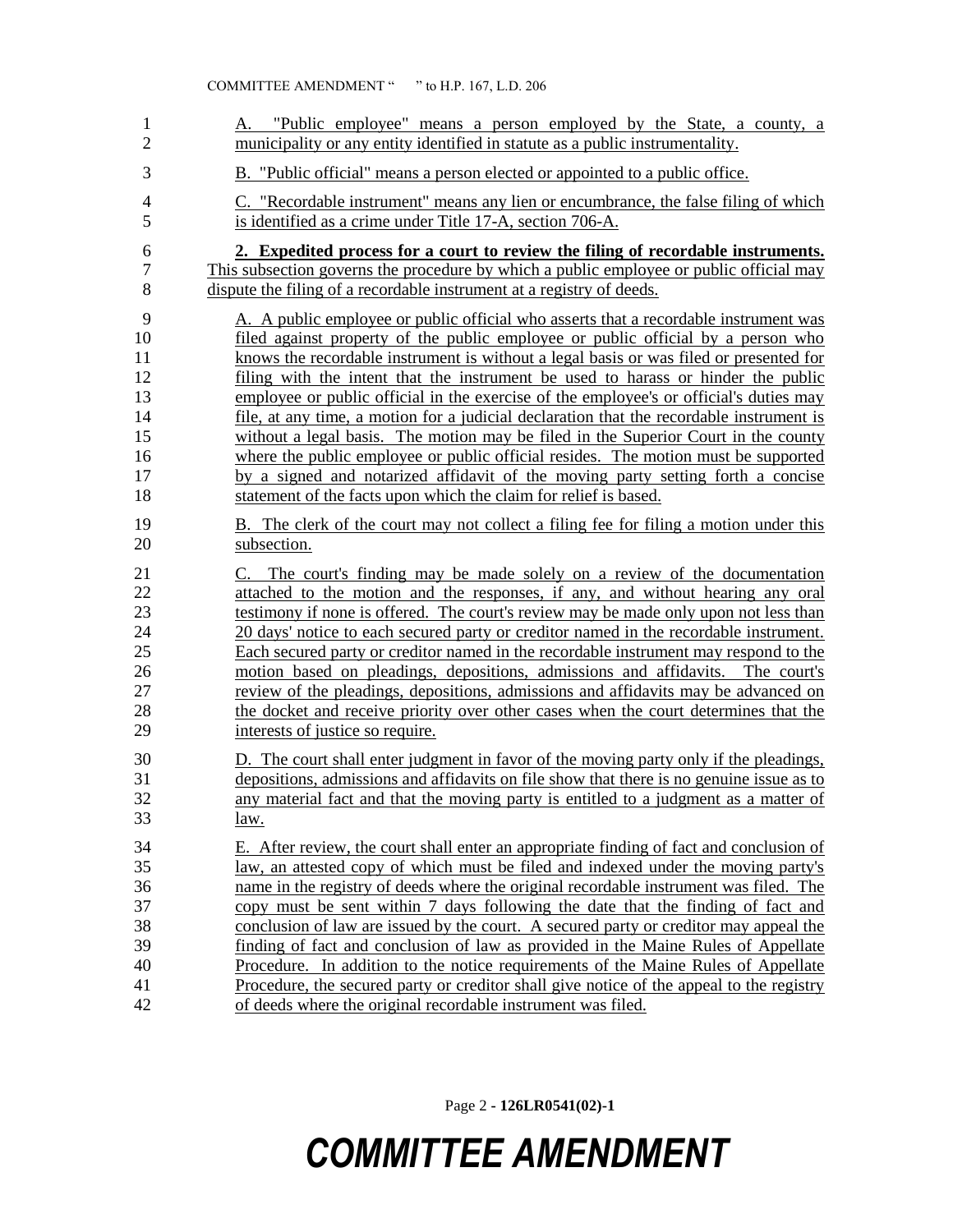| $\mathbf 1$<br>2 | "Public employee" means a person employed by the State, a county, a<br>А.<br>municipality or any entity identified in statute as a public instrumentality. |
|------------------|------------------------------------------------------------------------------------------------------------------------------------------------------------|
| 3                | B. "Public official" means a person elected or appointed to a public office.                                                                               |
| 4                | C. "Recordable instrument" means any lien or encumbrance, the false filing of which                                                                        |
| 5                | is identified as a crime under Title 17-A, section 706-A.                                                                                                  |
| 6                | 2. Expedited process for a court to review the filing of recordable instruments.                                                                           |
| 7                | This subsection governs the procedure by which a public employee or public official may                                                                    |
| 8                | dispute the filing of a recordable instrument at a registry of deeds.                                                                                      |
| 9                | A. A public employee or public official who asserts that a recordable instrument was                                                                       |
| 10               | filed against property of the public employee or public official by a person who                                                                           |
| 11               | knows the recordable instrument is without a legal basis or was filed or presented for                                                                     |
| 12               | filing with the intent that the instrument be used to harass or hinder the public                                                                          |
| 13               | employee or public official in the exercise of the employee's or official's duties may                                                                     |
| 14               | file, at any time, a motion for a judicial declaration that the recordable instrument is                                                                   |
| 15               | without a legal basis. The motion may be filed in the Superior Court in the county                                                                         |
| 16               | where the public employee or public official resides. The motion must be supported                                                                         |
| 17               | by a signed and notarized affidavit of the moving party setting forth a concise                                                                            |
| 18               | statement of the facts upon which the claim for relief is based.                                                                                           |
| 19               | B. The clerk of the court may not collect a filing fee for filing a motion under this                                                                      |
| 20               | subsection.                                                                                                                                                |
| 21               | The court's finding may be made solely on a review of the documentation                                                                                    |
| 22               | attached to the motion and the responses, if any, and without hearing any oral                                                                             |
| 23               | testimony if none is offered. The court's review may be made only upon not less than                                                                       |
| 24               | 20 days' notice to each secured party or creditor named in the recordable instrument.                                                                      |
| 25               | <u>Each secured party or creditor named in the recordable instrument may respond to the</u>                                                                |
| 26               | motion based on pleadings, depositions, admissions and affidavits. The court's                                                                             |
| 27               | review of the pleadings, depositions, admissions and affidavits may be advanced on                                                                         |
| 28               | the docket and receive priority over other cases when the court determines that the                                                                        |
| 29               | interests of justice so require.                                                                                                                           |
| 30               | D. The court shall enter judgment in favor of the moving party only if the pleadings,                                                                      |
| 31               | depositions, admissions and affidavits on file show that there is no genuine issue as to                                                                   |
| 32               | any material fact and that the moving party is entitled to a judgment as a matter of                                                                       |
| 33               | <u>law.</u>                                                                                                                                                |
| 34               | E. After review, the court shall enter an appropriate finding of fact and conclusion of                                                                    |
| 35               | law, an attested copy of which must be filed and indexed under the moving party's                                                                          |
| 36               | name in the registry of deeds where the original recordable instrument was filed. The                                                                      |
| 37               | copy must be sent within 7 days following the date that the finding of fact and                                                                            |
| 38               | conclusion of law are issued by the court. A secured party or creditor may appeal the                                                                      |
| 39               | finding of fact and conclusion of law as provided in the Maine Rules of Appellate                                                                          |
| 40               | Procedure. In addition to the notice requirements of the Maine Rules of Appellate                                                                          |
| 41               | Procedure, the secured party or creditor shall give notice of the appeal to the registry                                                                   |
| 42               | of deeds where the original recordable instrument was filed.                                                                                               |

Page 2 **- 126LR0541(02)-1**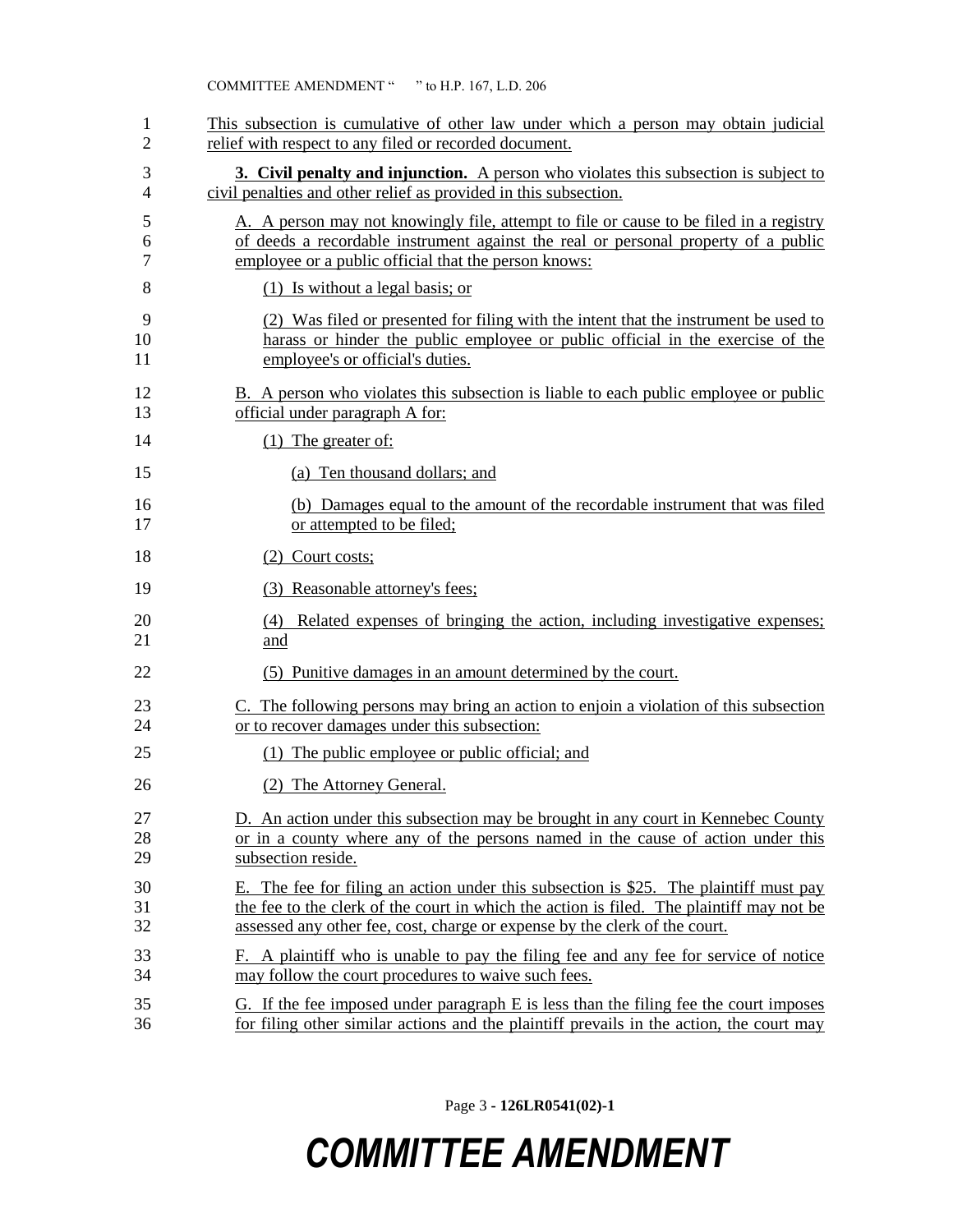| 1              | This subsection is cumulative of other law under which a person may obtain judicial                                                                                                                                                                                |
|----------------|--------------------------------------------------------------------------------------------------------------------------------------------------------------------------------------------------------------------------------------------------------------------|
| 2              | relief with respect to any filed or recorded document.                                                                                                                                                                                                             |
| 3              | <b>3. Civil penalty and injunction.</b> A person who violates this subsection is subject to                                                                                                                                                                        |
| 4              | civil penalties and other relief as provided in this subsection.                                                                                                                                                                                                   |
| 5              | A. A person may not knowingly file, attempt to file or cause to be filed in a registry                                                                                                                                                                             |
| 6              | of deeds a recordable instrument against the real or personal property of a public                                                                                                                                                                                 |
| 7              | employee or a public official that the person knows:                                                                                                                                                                                                               |
| 8              | $(1)$ Is without a legal basis; or                                                                                                                                                                                                                                 |
| 9              | (2) Was filed or presented for filing with the intent that the instrument be used to                                                                                                                                                                               |
| 10             | harass or hinder the public employee or public official in the exercise of the                                                                                                                                                                                     |
| 11             | employee's or official's duties.                                                                                                                                                                                                                                   |
| 12             | B. A person who violates this subsection is liable to each public employee or public                                                                                                                                                                               |
| 13             | official under paragraph A for:                                                                                                                                                                                                                                    |
| 14             | $(1)$ The greater of:                                                                                                                                                                                                                                              |
| 15             | (a) Ten thousand dollars; and                                                                                                                                                                                                                                      |
| 16             | (b) Damages equal to the amount of the recordable instrument that was filed                                                                                                                                                                                        |
| 17             | or attempted to be filed;                                                                                                                                                                                                                                          |
| 18             | (2) Court costs;                                                                                                                                                                                                                                                   |
| 19             | (3) Reasonable attorney's fees;                                                                                                                                                                                                                                    |
| 20<br>21       | Related expenses of bringing the action, including investigative expenses;<br>(4)<br>and                                                                                                                                                                           |
| 22             | (5) Punitive damages in an amount determined by the court.                                                                                                                                                                                                         |
| 23             | C. The following persons may bring an action to enjoin a violation of this subsection                                                                                                                                                                              |
| 24             | or to recover damages under this subsection:                                                                                                                                                                                                                       |
| 25             | (1) The public employee or public official; and                                                                                                                                                                                                                    |
| 26             | (2) The Attorney General.                                                                                                                                                                                                                                          |
| 27             | D. An action under this subsection may be brought in any court in Kennebec County                                                                                                                                                                                  |
| 28             | or in a county where any of the persons named in the cause of action under this                                                                                                                                                                                    |
| 29             | subsection reside.                                                                                                                                                                                                                                                 |
| 30<br>31<br>32 | The fee for filing an action under this subsection is \$25. The plaintiff must pay<br>Е.<br>the fee to the clerk of the court in which the action is filed. The plaintiff may not be<br>assessed any other fee, cost, charge or expense by the clerk of the court. |
| 33             | F. A plaintiff who is unable to pay the filing fee and any fee for service of notice                                                                                                                                                                               |
| 34             | may follow the court procedures to waive such fees.                                                                                                                                                                                                                |
| 35             | G. If the fee imposed under paragraph E is less than the filing fee the court imposes                                                                                                                                                                              |
| 36             | for filing other similar actions and the plaintiff prevails in the action, the court may                                                                                                                                                                           |

Page 3 **- 126LR0541(02)-1**